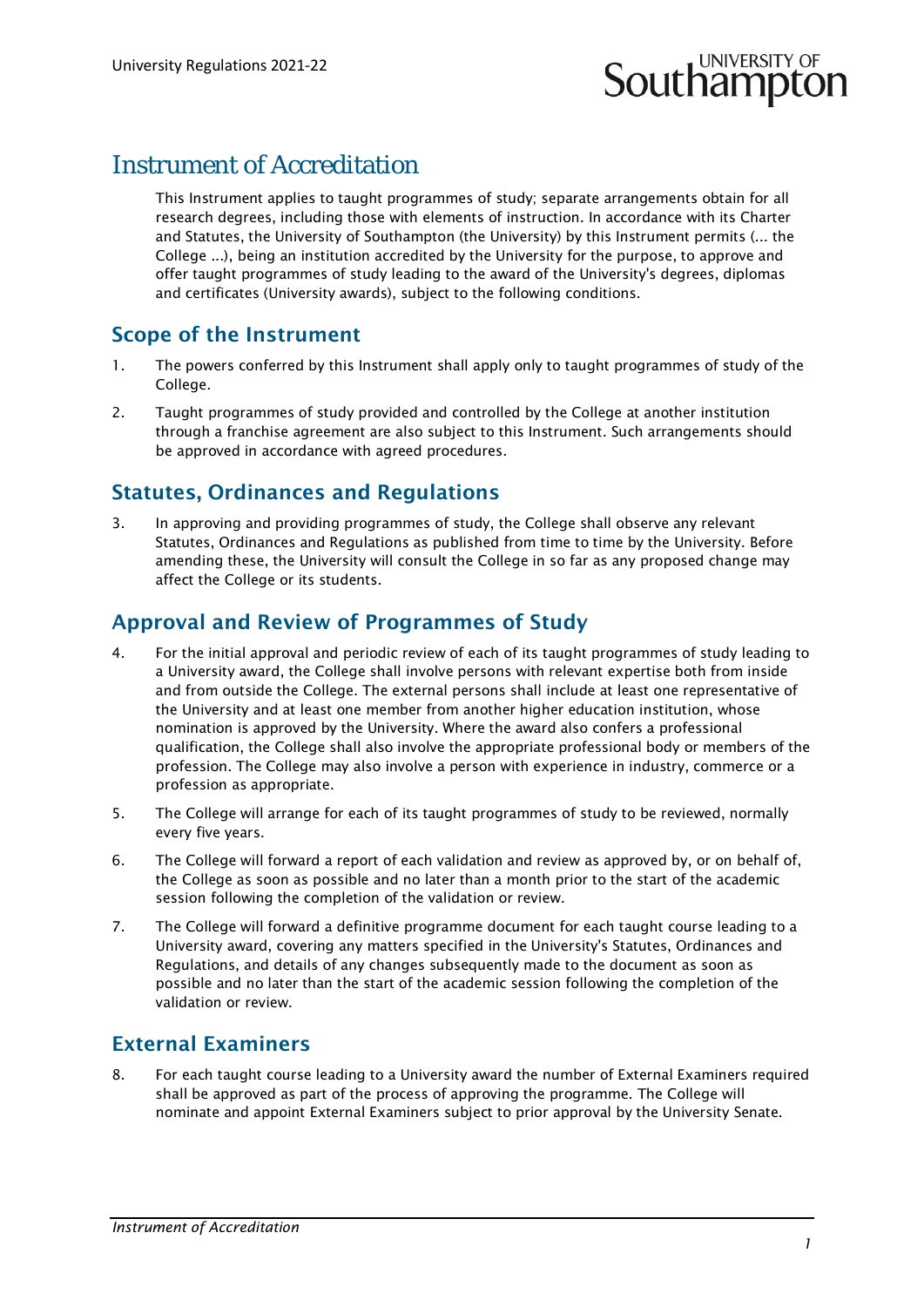# **Southampton**

# Instrument of Accreditation

This Instrument applies to taught programmes of study; separate arrangements obtain for all research degrees, including those with elements of instruction. In accordance with its Charter and Statutes, the University of Southampton (the University) by this Instrument permits (... the College ...), being an institution accredited by the University for the purpose, to approve and offer taught programmes of study leading to the award of the University's degrees, diplomas and certificates (University awards), subject to the following conditions.

### Scope of the Instrument

- 1. The powers conferred by this Instrument shall apply only to taught programmes of study of the College.
- 2. Taught programmes of study provided and controlled by the College at another institution through a franchise agreement are also subject to this Instrument. Such arrangements should be approved in accordance with agreed procedures.

### Statutes, Ordinances and Regulations

3. In approving and providing programmes of study, the College shall observe any relevant Statutes, Ordinances and Regulations as published from time to time by the University. Before amending these, the University will consult the College in so far as any proposed change may affect the College or its students.

### Approval and Review of Programmes of Study

- 4. For the initial approval and periodic review of each of its taught programmes of study leading to a University award, the College shall involve persons with relevant expertise both from inside and from outside the College. The external persons shall include at least one representative of the University and at least one member from another higher education institution, whose nomination is approved by the University. Where the award also confers a professional qualification, the College shall also involve the appropriate professional body or members of the profession. The College may also involve a person with experience in industry, commerce or a profession as appropriate.
- 5. The College will arrange for each of its taught programmes of study to be reviewed, normally every five years.
- 6. The College will forward a report of each validation and review as approved by, or on behalf of, the College as soon as possible and no later than a month prior to the start of the academic session following the completion of the validation or review.
- 7. The College will forward a definitive programme document for each taught course leading to a University award, covering any matters specified in the University's Statutes, Ordinances and Regulations, and details of any changes subsequently made to the document as soon as possible and no later than the start of the academic session following the completion of the validation or review.

# External Examiners

8. For each taught course leading to a University award the number of External Examiners required shall be approved as part of the process of approving the programme. The College will nominate and appoint External Examiners subject to prior approval by the University Senate.